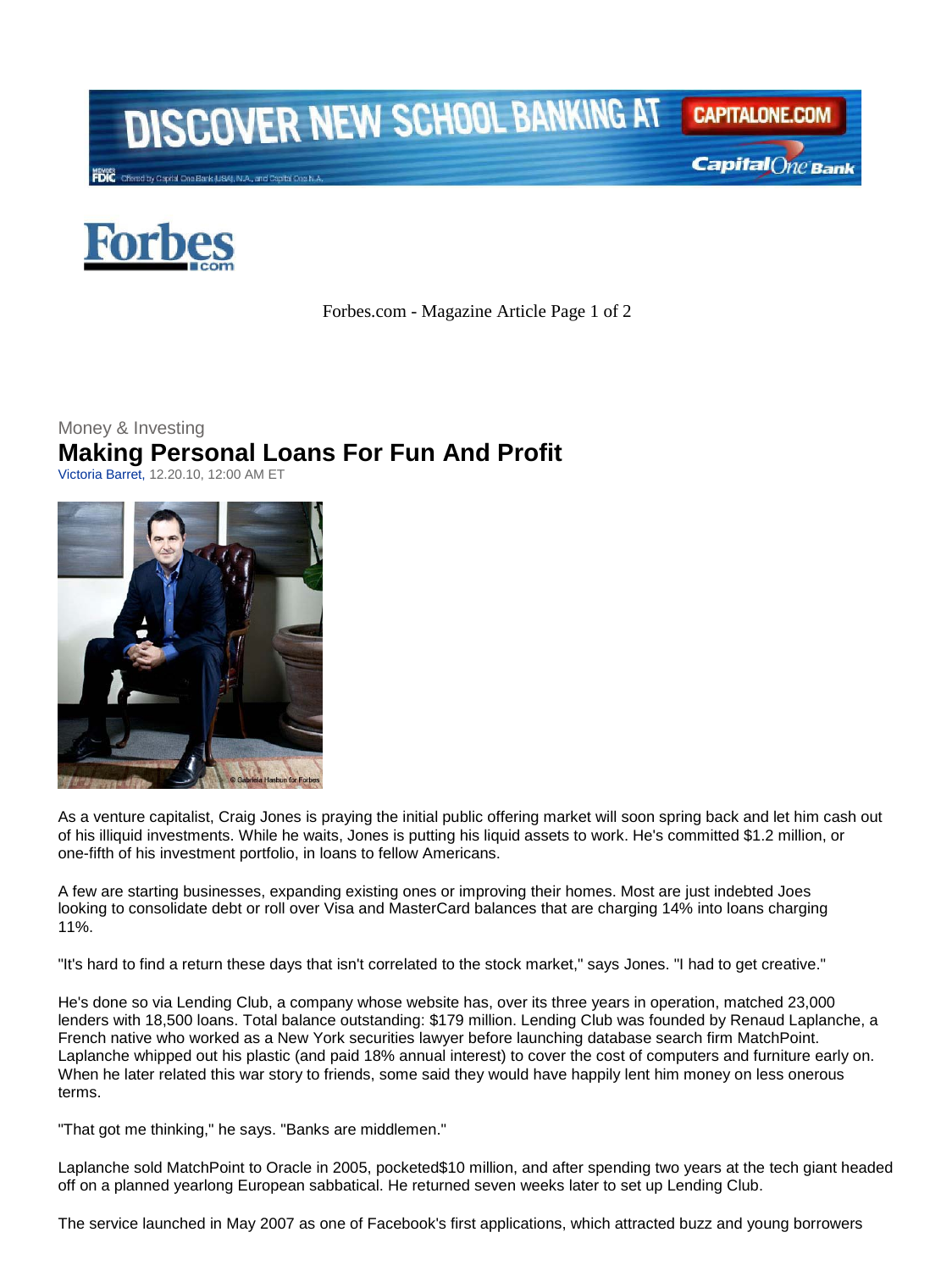

Capital One Bank



Forbes.com - Magazine Article Page 1 of 2

## Money & Investing **Making Personal Loans For Fun And Profit**

Victoria Barret, 12.20.10, 12:00 AM ET



As a venture capitalist, Craig Jones is praying the initial public offering market will soon spring back and let him cash out of his illiquid investments. While he waits, Jones is putting his liquid assets to work. He's committed \$1.2 million, or one-fifth of his investment portfolio, in loans to fellow Americans.

A few are starting businesses, expanding existing ones or improving their homes. Most are just indebted Joes looking to consolidate debt or roll over Visa and MasterCard balances that are charging 14% into loans charging 11%.

"It's hard to find a return these days that isn't correlated to the stock market," says Jones. "I had to get creative."

He's done so via Lending Club, a company whose website has, over its three years in operation, matched 23,000 lenders with 18,500 loans. Total balance outstanding: \$179 million. Lending Club was founded by Renaud Laplanche, a French native who worked as a New York securities lawyer before launching database search firm MatchPoint. Laplanche whipped out his plastic (and paid 18% annual interest) to cover the cost of computers and furniture early on. When he later related this war story to friends, some said they would have happily lent him money on less onerous terms.

"That got me thinking," he says. "Banks are middlemen."

Laplanche sold MatchPoint to Oracle in 2005, pocketed\$10 million, and after spending two years at the tech giant headed off on a planned yearlong European sabbatical. He returned seven weeks later to set up Lending Club.

The service launched in May 2007 as one of Facebook's first applications, which attracted buzz and young borrowers